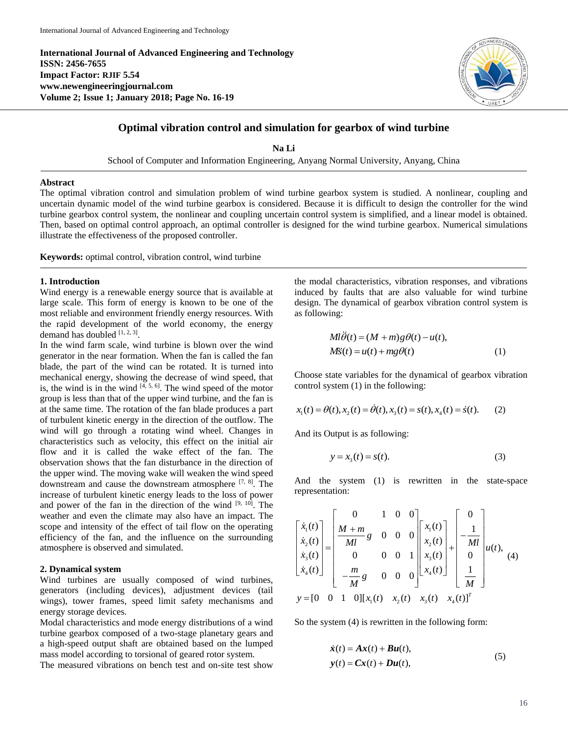**International Journal of Advanced Engineering and Technology ISSN: 2456-7655 Impact Factor: RJIF 5.54 www.newengineeringjournal.com Volume 2; Issue 1; January 2018; Page No. 16-19**



# **Optimal vibration control and simulation for gearbox of wind turbine**

**Na Li** School of Computer and Information Engineering, Anyang Normal University, Anyang, China

## **Abstract**

The optimal vibration control and simulation problem of wind turbine gearbox system is studied. A nonlinear, coupling and uncertain dynamic model of the wind turbine gearbox is considered. Because it is difficult to design the controller for the wind turbine gearbox control system, the nonlinear and coupling uncertain control system is simplified, and a linear model is obtained. Then, based on optimal control approach, an optimal controller is designed for the wind turbine gearbox. Numerical simulations illustrate the effectiveness of the proposed controller.

**Keywords:** optimal control, vibration control, wind turbine

#### **1. Introduction**

Wind energy is a renewable energy source that is available at large scale. This form of energy is known to be one of the most reliable and environment friendly energy resources. With the rapid development of the world economy, the energy demand has doubled  $[1, 2, 3]$ .

In the wind farm scale, wind turbine is blown over the wind generator in the near formation. When the fan is called the fan blade, the part of the wind can be rotated. It is turned into mechanical energy, showing the decrease of wind speed, that is, the wind is in the wind  $[4, 5, 6]$ . The wind speed of the motor group is less than that of the upper wind turbine, and the fan is at the same time. The rotation of the fan blade produces a part of turbulent kinetic energy in the direction of the outflow. The wind will go through a rotating wind wheel. Changes in characteristics such as velocity, this effect on the initial air flow and it is called the wake effect of the fan. The observation shows that the fan disturbance in the direction of the upper wind. The moving wake will weaken the wind speed downstream and cause the downstream atmosphere [7, 8] . The increase of turbulent kinetic energy leads to the loss of power and power of the fan in the direction of the wind  $[9, 10]$ . The weather and even the climate may also have an impact. The scope and intensity of the effect of tail flow on the operating efficiency of the fan, and the influence on the surrounding atmosphere is observed and simulated.

## **2. Dynamical system**

Wind turbines are usually composed of wind turbines, generators (including devices), adjustment devices (tail wings), tower frames, speed limit safety mechanisms and energy storage devices.

Modal characteristics and mode energy distributions of a wind turbine gearbox composed of a two-stage planetary gears and a high-speed output shaft are obtained based on the lumped mass model according to torsional of geared rotor system.

The measured vibrations on bench test and on-site test show

the modal characteristics, vibration responses, and vibrations induced by faults that are also valuable for wind turbine design. The dynamical of gearbox vibration control system is as following:

$$
Ml\theta(t) = (M+m)g\theta(t) - u(t),
$$
  
\n
$$
M\ddot{s}(t) = u(t) + mg\theta(t)
$$
\n(1)

Choose state variables for the dynamical of gearbox vibration control system (1) in the following:

$$
x_1(t) = \theta(t), x_2(t) = \theta(t), x_3(t) = s(t), x_4(t) = \dot{s}(t). \tag{2}
$$

And its Output is as following:

$$
y = x_3(t) = s(t).
$$
 (3)

And the system (1) is rewritten in the state-space representation:

$$
\begin{bmatrix} \dot{x}_1(t) \\ \dot{x}_2(t) \\ \dot{x}_3(t) \\ \dot{x}_4(t) \end{bmatrix} = \begin{bmatrix} 0 & 1 & 0 & 0 \\ \frac{M+m}{Ml}g & 0 & 0 & 0 \\ 0 & 0 & 0 & 1 \\ -\frac{m}{M}g & 0 & 0 & 0 \end{bmatrix} \begin{bmatrix} x_1(t) \\ x_2(t) \\ x_3(t) \\ x_4(t) \end{bmatrix} + \begin{bmatrix} 0 \\ -\frac{1}{Ml} \\ 0 \\ \frac{1}{M} \end{bmatrix} u(t), \quad (4)
$$
  

$$
y = [0 \quad 0 \quad 1 \quad 0][x_1(t) \quad x_2(t) \quad x_3(t) \quad x_4(t)]^T
$$

So the system (4) is rewritten in the following form:

$$
\dot{x}(t) = Ax(t) + Bu(t),
$$
  
\n
$$
y(t) = Cx(t) + Du(t),
$$
\n(5)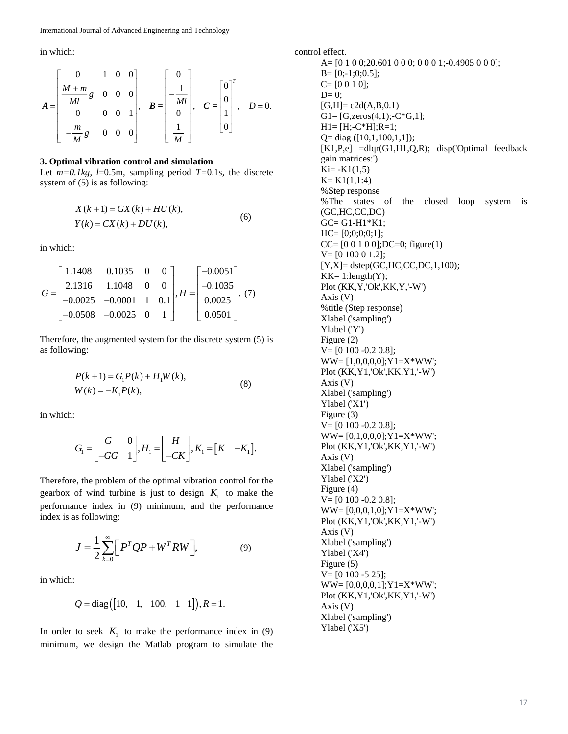in which:

$$
A = \begin{bmatrix} 0 & 1 & 0 & 0 \\ \frac{M+m}{Ml}g & 0 & 0 & 0 \\ 0 & 0 & 0 & 1 \\ -\frac{m}{M}g & 0 & 0 & 0 \end{bmatrix}, \quad B = \begin{bmatrix} 0 \\ -\frac{1}{Ml} \\ 0 \\ \frac{1}{M} \end{bmatrix}, \quad C = \begin{bmatrix} 0 \\ 0 \\ 1 \\ 0 \end{bmatrix}, \quad D = 0.
$$

#### **3. Optimal vibration control and simulation**

Let  $m=0.1$ kg,  $l=0.5$ m, sampling period  $T=0.1$ s, the discrete system of (5) is as following:

$$
X(k+1) = GX(k) + HU(k),
$$
  
\n
$$
Y(k) = CX(k) + DU(k),
$$
\n(6)

in which:

$$
G = \begin{bmatrix} 1.1408 & 0.1035 & 0 & 0 \\ 2.1316 & 1.1048 & 0 & 0 \\ -0.0025 & -0.0001 & 1 & 0.1 \\ -0.0508 & -0.0025 & 0 & 1 \end{bmatrix}, H = \begin{bmatrix} -0.0051 \\ -0.1035 \\ 0.0025 \\ 0.0501 \end{bmatrix}. \tag{7}
$$

Therefore, the augmented system for the discrete system (5) is as following:

$$
P(k+1) = G_1 P(k) + H_1 W(k),
$$
  
W(k) = -K<sub>1</sub>P(k), (8)

in which:

$$
G_{\scriptscriptstyle 1} = \begin{bmatrix} G & 0 \\ -GG & 1 \end{bmatrix}, H_{\scriptscriptstyle 1} = \begin{bmatrix} H \\ -CK \end{bmatrix}, K_{\scriptscriptstyle 1} = \begin{bmatrix} K & -K_{\scriptscriptstyle 1} \end{bmatrix}.
$$

Therefore, the problem of the optimal vibration control for the gearbox of wind turbine is just to design  $K<sub>1</sub>$  to make the performance index in (9) minimum, and the performance index is as following:

$$
J = \frac{1}{2} \sum_{k=0}^{\infty} \left[ P^T Q P + W^T R W \right],
$$
 (9)

in which:

$$
Q = diag([10, 1, 100, 1 1]), R = 1.
$$

In order to seek  $K_1$  to make the performance index in (9) minimum, we design the Matlab program to simulate the

control effect. A= [0 1 0 0;20.601 0 0 0; 0 0 0 1;-0.4905 0 0 0];  $B=[0;-1;0;0.5];$  $C=[0 0 1 0];$  $D= 0;$  $[G,H]= c2d(A,B,0.1)$  $G1 = [G, zeros(4,1); -C*G, 1];$  $H1=[H;-C*H];R=1;$ Q= diag ([10,1,100,1,1]); [K1,P,e] =dlqr(G1,H1,Q,R); disp('Optimal feedback gain matrices:')  $Ki = -K1(1,5)$  $K= K1(1,1:4)$ %Step response %The states of the closed loop system is (GC,HC,CC,DC) GC= G1-H1\*K1; HC= [0;0;0;0;1]; CC= [0 0 1 0 0];DC=0; figure(1) V= [0 100 0 1.2];  $[Y,X]=$  dstep(GC,HC,CC,DC,1,100);  $KK=1$ :length $(Y)$ ; Plot (KK,Y,'Ok',KK,Y,'-W') Axis (V) %title (Step response) Xlabel ('sampling') Ylabel ('Y') Figure (2)  $V=[0 100 -0.2 0.8];$ WW= [1,0,0,0,0];Y1=X\*WW'; Plot (KK,Y1,'Ok',KK,Y1,'-W') Axis (V) Xlabel ('sampling') Ylabel ('X1') Figure (3)  $V=[0 100 -0.2 0.8];$  $WW=[0,1,0,0,0]; Y1=X*WW';$ Plot (KK,Y1,'Ok',KK,Y1,'-W') Axis (V) Xlabel ('sampling') Ylabel ('X2') Figure (4)  $V=[0 100 -0.2 0.8];$ WW=  $[0,0,0,1,0]$ ;  $Y1 = X*WW$ ; Plot (KK,Y1,'Ok',KK,Y1,'-W') Axis (V) Xlabel ('sampling') Ylabel ('X4') Figure (5)  $V=[0 100 -5 25];$ WW= [0,0,0,0,1];Y1=X\*WW'; Plot (KK,Y1,'Ok',KK,Y1,'-W') Axis (V) Xlabel ('sampling') Ylabel ('X5')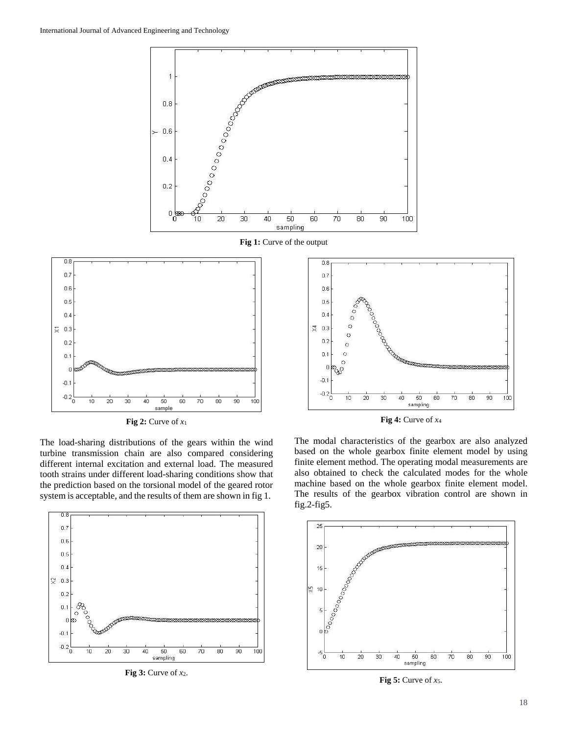

**Fig 1:** Curve of the output



**Fig 2:** Curve of *x*<sup>1</sup>

The load-sharing distributions of the gears within the wind turbine transmission chain are also compared considering different internal excitation and external load. The measured tooth strains under different load-sharing conditions show that the prediction based on the torsional model of the geared rotor system is acceptable, and the results of them are shown in fig 1.



**Fig 3:** Curve of *x*2.



**Fig 4:** Curve of *x*<sup>4</sup>

The modal characteristics of the gearbox are also analyzed based on the whole gearbox finite element model by using finite element method. The operating modal measurements are also obtained to check the calculated modes for the whole machine based on the whole gearbox finite element model. The results of the gearbox vibration control are shown in fig.2-fig5.



**Fig 5:** Curve of *x*5.